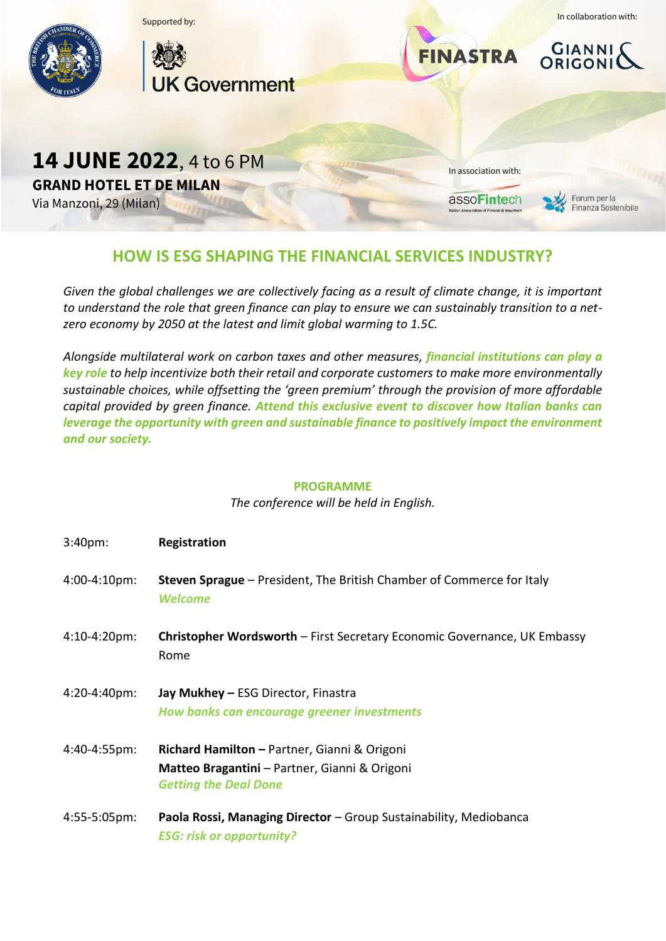

## **HOW IS ESG SHAPING THE FINANCIAL SERVICES INDUSTRY?**

*Given the global challenges we are collectively facing as a result of climate change, it is important to understand the role that green finance can play to ensure we can sustainably transition to a netzero economy by 2050 at the latest and limit global warming to 1.5C.*

*Alongside multilateral work on carbon taxes and other measures, financial institutions can play a key role to help incentivize both their retail and corporate customers to make more environmentally sustainable choices, while offsetting the 'green premium' through the provision of more affordable capital provided by green finance. Attend this exclusive event to discover how Italian banks can leverage the opportunity with green and sustainable finance to positively impact the environment and our society.*

## **PROGRAMME**

*The conference will be held in English.*

| $3:40pm$ :             | Registration                                                                                                                  |
|------------------------|-------------------------------------------------------------------------------------------------------------------------------|
| 4:00-4:10pm:           | <b>Steven Sprague</b> – President, The British Chamber of Commerce for Italy<br><b>Welcome</b>                                |
| 4:10-4:20pm:           | <b>Christopher Wordsworth</b> – First Secretary Economic Governance, UK Embassy<br>Rome                                       |
| 4:20-4:40pm:           | Jay Mukhey - ESG Director, Finastra<br>How banks can encourage greener investments                                            |
| 4:40-4:55pm:           | Richard Hamilton - Partner, Gianni & Origoni<br>Matteo Bragantini - Partner, Gianni & Origoni<br><b>Getting the Deal Done</b> |
| $4:55-5:05 \text{pm}:$ | Paola Rossi, Managing Director - Group Sustainability, Mediobanca<br><b>ESG: risk or opportunity?</b>                         |